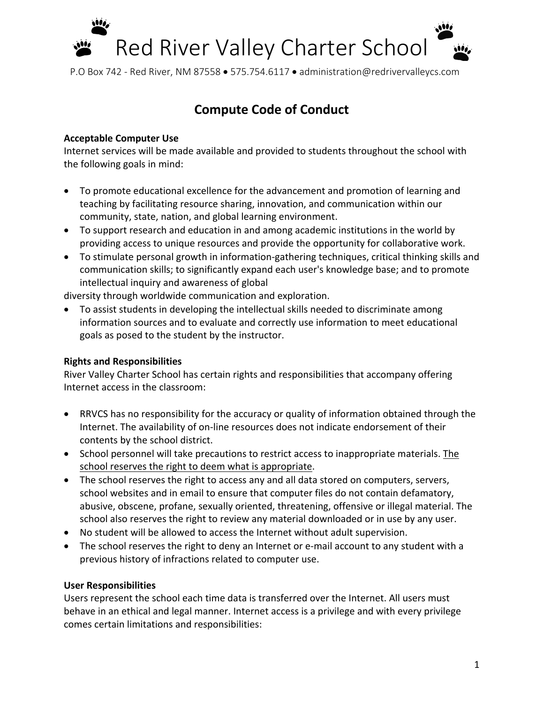

# **Compute Code of Conduct**

#### **Acceptable Computer Use**

Internet services will be made available and provided to students throughout the school with the following goals in mind:

- To promote educational excellence for the advancement and promotion of learning and teaching by facilitating resource sharing, innovation, and communication within our community, state, nation, and global learning environment.
- To support research and education in and among academic institutions in the world by providing access to unique resources and provide the opportunity for collaborative work.
- To stimulate personal growth in information-gathering techniques, critical thinking skills and communication skills; to significantly expand each user's knowledge base; and to promote intellectual inquiry and awareness of global

diversity through worldwide communication and exploration.

• To assist students in developing the intellectual skills needed to discriminate among information sources and to evaluate and correctly use information to meet educational goals as posed to the student by the instructor.

## **Rights and Responsibilities**

River Valley Charter School has certain rights and responsibilities that accompany offering Internet access in the classroom:

- RRVCS has no responsibility for the accuracy or quality of information obtained through the Internet. The availability of on-line resources does not indicate endorsement of their contents by the school district.
- School personnel will take precautions to restrict access to inappropriate materials. The school reserves the right to deem what is appropriate.
- The school reserves the right to access any and all data stored on computers, servers, school websites and in email to ensure that computer files do not contain defamatory, abusive, obscene, profane, sexually oriented, threatening, offensive or illegal material. The school also reserves the right to review any material downloaded or in use by any user.
- No student will be allowed to access the Internet without adult supervision.
- The school reserves the right to deny an Internet or e-mail account to any student with a previous history of infractions related to computer use.

## **User Responsibilities**

Users represent the school each time data is transferred over the Internet. All users must behave in an ethical and legal manner. Internet access is a privilege and with every privilege comes certain limitations and responsibilities: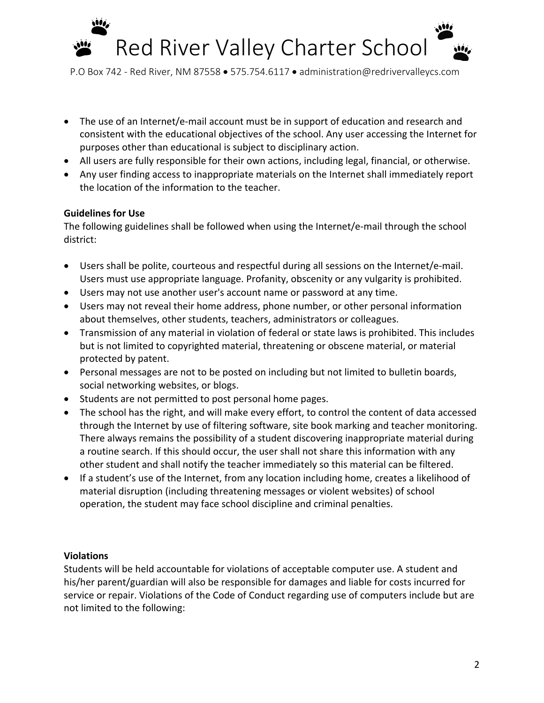

- The use of an Internet/e-mail account must be in support of education and research and consistent with the educational objectives of the school. Any user accessing the Internet for purposes other than educational is subject to disciplinary action.
- All users are fully responsible for their own actions, including legal, financial, or otherwise.
- Any user finding access to inappropriate materials on the Internet shall immediately report the location of the information to the teacher.

#### **Guidelines for Use**

The following guidelines shall be followed when using the Internet/e-mail through the school district:

- Users shall be polite, courteous and respectful during all sessions on the Internet/e-mail. Users must use appropriate language. Profanity, obscenity or any vulgarity is prohibited.
- Users may not use another user's account name or password at any time.
- Users may not reveal their home address, phone number, or other personal information about themselves, other students, teachers, administrators or colleagues.
- Transmission of any material in violation of federal or state laws is prohibited. This includes but is not limited to copyrighted material, threatening or obscene material, or material protected by patent.
- Personal messages are not to be posted on including but not limited to bulletin boards, social networking websites, or blogs.
- Students are not permitted to post personal home pages.
- The school has the right, and will make every effort, to control the content of data accessed through the Internet by use of filtering software, site book marking and teacher monitoring. There always remains the possibility of a student discovering inappropriate material during a routine search. If this should occur, the user shall not share this information with any other student and shall notify the teacher immediately so this material can be filtered.
- If a student's use of the Internet, from any location including home, creates a likelihood of material disruption (including threatening messages or violent websites) of school operation, the student may face school discipline and criminal penalties.

#### **Violations**

Students will be held accountable for violations of acceptable computer use. A student and his/her parent/guardian will also be responsible for damages and liable for costs incurred for service or repair. Violations of the Code of Conduct regarding use of computers include but are not limited to the following: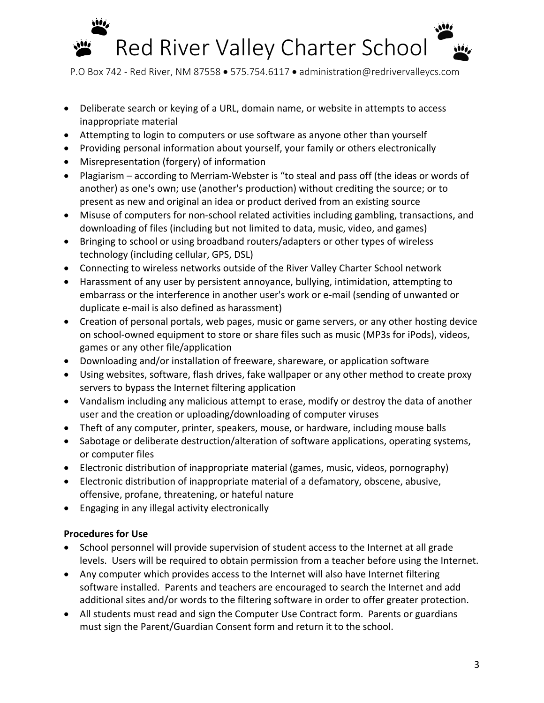

- Deliberate search or keying of a URL, domain name, or website in attempts to access inappropriate material
- Attempting to login to computers or use software as anyone other than yourself
- Providing personal information about yourself, your family or others electronically
- Misrepresentation (forgery) of information
- Plagiarism according to Merriam-Webster is "to steal and pass off (the ideas or words of another) as one's own; use (another's production) without crediting the source; or to present as new and original an idea or product derived from an existing source
- Misuse of computers for non-school related activities including gambling, transactions, and downloading of files (including but not limited to data, music, video, and games)
- Bringing to school or using broadband routers/adapters or other types of wireless technology (including cellular, GPS, DSL)
- Connecting to wireless networks outside of the River Valley Charter School network
- Harassment of any user by persistent annoyance, bullying, intimidation, attempting to embarrass or the interference in another user's work or e-mail (sending of unwanted or duplicate e-mail is also defined as harassment)
- Creation of personal portals, web pages, music or game servers, or any other hosting device on school-owned equipment to store or share files such as music (MP3s for iPods), videos, games or any other file/application
- Downloading and/or installation of freeware, shareware, or application software
- Using websites, software, flash drives, fake wallpaper or any other method to create proxy servers to bypass the Internet filtering application
- Vandalism including any malicious attempt to erase, modify or destroy the data of another user and the creation or uploading/downloading of computer viruses
- Theft of any computer, printer, speakers, mouse, or hardware, including mouse balls
- Sabotage or deliberate destruction/alteration of software applications, operating systems, or computer files
- Electronic distribution of inappropriate material (games, music, videos, pornography)
- Electronic distribution of inappropriate material of a defamatory, obscene, abusive, offensive, profane, threatening, or hateful nature
- Engaging in any illegal activity electronically

## **Procedures for Use**

- School personnel will provide supervision of student access to the Internet at all grade levels. Users will be required to obtain permission from a teacher before using the Internet.
- Any computer which provides access to the Internet will also have Internet filtering software installed. Parents and teachers are encouraged to search the Internet and add additional sites and/or words to the filtering software in order to offer greater protection.
- All students must read and sign the Computer Use Contract form. Parents or guardians must sign the Parent/Guardian Consent form and return it to the school.